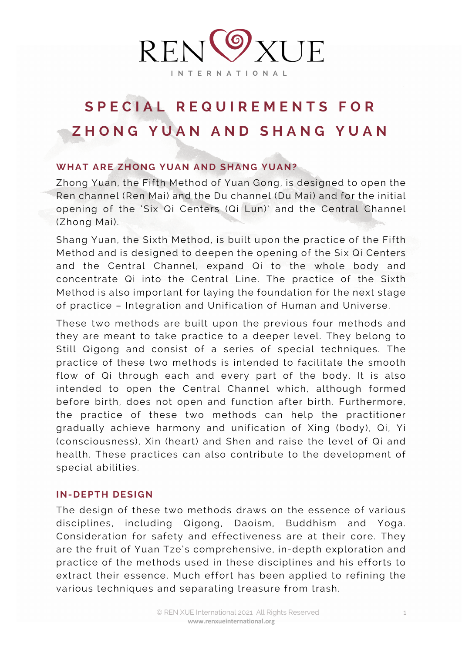

# **SPECIAL REQUIREMENTS FOR ZHONG YUAN AND SHANG YUAN**

# **WHAT ARE ZHONG YUAN AND SHANG YUAN?**

Zhong Yuan, the Fifth Method of Yuan Gong, is designed to open the Ren channel (Ren Mai) and the Du channel (Du Mai) and for the initial opening of the 'Six Qi Centers (Qi Lun)' and the Central Channel (Zhong Mai).

Shang Yuan, the Sixth Method, is built upon the practice of the Fifth Method and is designed to deepen the opening of the Six Qi Centers and the Central Channel, expand Qi to the whole body and concentrate Qi into the Central Line. The practice of the Sixth Method is also important for laying the foundation for the next stage of practice – Integration and Unification of Human and Universe.

These two methods are built upon the previous four methods and they are meant to take practice to a deeper level. They belong to Still Qigong and consist of a series of special techniques. The practice of these two methods is intended to facilitate the smooth flow of Qi through each and every part of the body. It is also intended to open the Central Channel which, although formed before birth, does not open and function after birth. Furthermore, the practice of these two methods can help the practitioner gradually achieve harmony and unification of Xing (body), Qi, Yi (consciousness), Xin (heart) and Shen and raise the level of Qi and health. These practices can also contribute to the development of special abilities.

## **IN-DEPTH DESIGN**

The design of these two methods draws on the essence of various disciplines, including Qigong, Daoism, Buddhism and Yoga. Consideration for safety and effectiveness are at their core. They are the fruit of Yuan Tze's comprehensive, in-depth exploration and practice of the methods used in these disciplines and his efforts to extract their essence. Much effort has been applied to refining the various techniques and separating treasure from trash.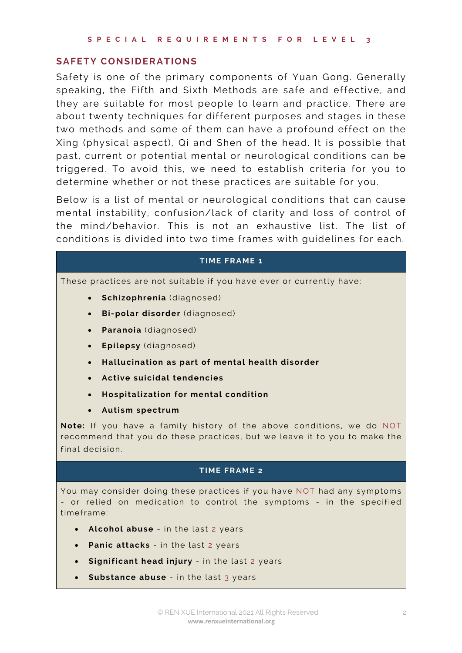### **SAFETY CONSIDERATIONS**

Safety is one of the primary components of Yuan Gong. Generally speaking, the Fifth and Sixth Methods are safe and effective, and they are suitable for most people to learn and practice. There are about twenty techniques for different purposes and stages in these two methods and some of them can have a profound effect on the Xing (physical aspect), Qi and Shen of the head. It is possible that past, current or potential mental or neurological conditions can be triggered. To avoid this, we need to establish criteria for you to determine whether or not these practices are suitable for you.

Below is a list of mental or neurological conditions that can cause mental instability, confusion/lack of clarity and loss of control of the mind/behavior. This is not an exhaustive list. The list of conditions is divided into two time frames with guidelines for each.

#### **TIME FRAME 1**

These practices are not suitable if you have ever or currently have:

- **Schizophrenia** (diagnosed)
- **Bi -polar disorder** (diagnosed)
- **Paranoia** (diagnosed)
- **Epilepsy** (diagnosed)
- **Hallucination as part of mental health disorder**
- **Active suicidal tendencies**
- **Hospitalization for mental condition**
- **Autism spectrum**

**Note:** If you have a family history of the above conditions, we do NOT recommend that you do these practices, but we leave it to you to make the final decision.

#### **TIME FRAME 2**

You may consider doing these practices if you have NOT had any symptoms - or relied on medication to control the symptoms - in the specified timeframe:

- **Alcohol abuse** in the last 2 years
- **Panic attacks** in the last 2 years
- **Significant head injury** in the last 2 years
- **Substance abuse** in the last 3 years